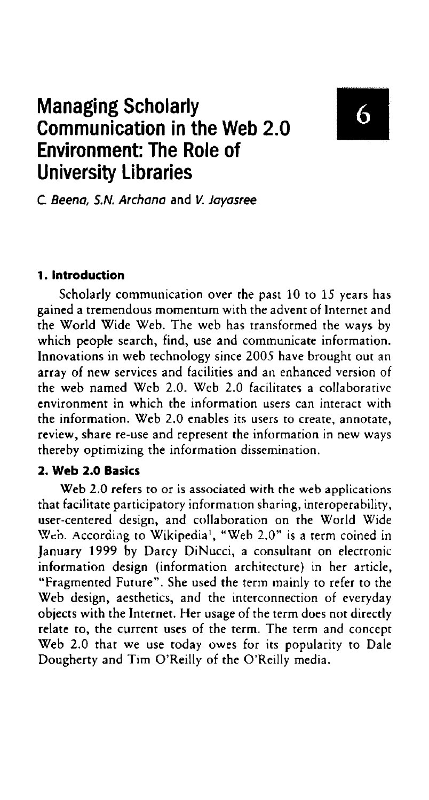# Managing Scholarly Communication in the Web 2.0 Environment: The Role of University Libraries

# 6

C. Beena, S.N. Archana and V. Jayasree

#### 1 . Introduction

Scholarly communication over the past 10 to 15 years has gained a tremendous momentum with the advent of Internet and the World Wide Web. The web has transformed the ways by which people search, find, use and communicate information. Innovations in web technology since 2005 have brought out an array of new services and facilities and an enhanced version of the web named Web 2.0. Web 2.0 facilitates a collaborative environment in which the information users can interact with the information. Web 2.0 enables its users to create, annotate, review, share re-use and represent the information in new ways thereby optimizing the information dissemination.

#### 2. Web 2.0 Basics

Web 2.0 refers to or is associated with the web applications that facilitate participatory information sharing, interoperability, user-centered design, and collaboration on the World Wide Web. According to Wikipedia', "Web 2.0" is a term coined in January 1999 by Darcy DiNucci, a consultant on electronic information design (information architecture) in her article, "Fragmented Future". She used the term mainly to refer to the Web design, aesthetics, and the interconnection of everyday objects with the Internet. Her usage of the term does not directly relate to, the current uses of the term. The term and concept Web 2.0 that we use today owes for its popularity to Dale Dougherty and Tim O'Reilly of the O'Reilly media.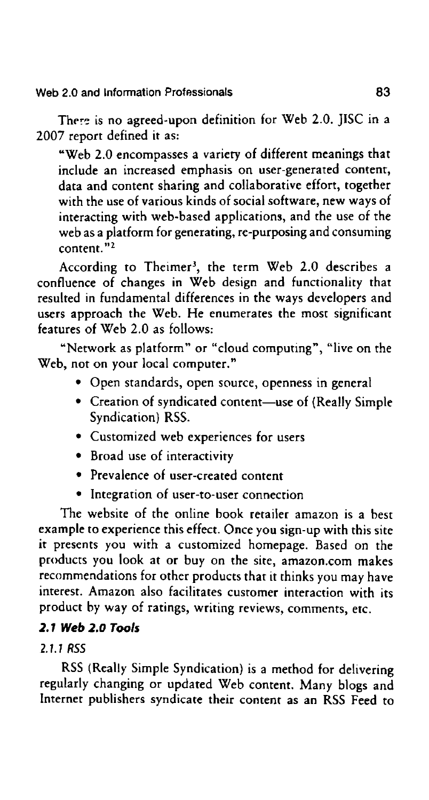Web 2.0 and Information Professionals **83** 

There is no agreed-upon definition for Web 2.0. JISC in a 2007 report defined it as:

"Web 2.0 encompasses a variety of different meanings that include an increased emphasis on user-generated content, data and content sharing and collaborative effort, together with the use of various kinds of social software, new ways of interacting with web-based applications, and the use of the web as a platform for generating, re-purposing and consuming content."<sup>2</sup>

According to Theimer', the term Web 2.0 describes a confluence of changes in Web design and functionality that resulted in fundamental differences in the ways developers and users approach the Web. He enumerates the most significant features of Web 2.0 as follows:

"Network as platform" or "cloud computing", "live on the Web, not on your local computer."

- 0 Open standards, open source, openness in general
- 0 Creation of syndicated content—use of (Really Simple Syndication} RSS.
- 0 Customized web experiences for users
- 0 Broad use of interactivity
- 0 Prevalence of user-created content
- 0 Integration of user-to-user connection

The website of the online book retailer amazon is a best example to experience this effect. Once you sign-up with this site it presents you with a customized homepage. Based on the products you look at or buy on the site, amazon.com makes recommendations for other products that it thinks you may have interest. Amazon also facilitates customer interaction with its product by way of ratings, writing reviews, comments, etc.

## 2.1 Web 2.0 Tools

# 2.7.? RSS

RSS (Really Simple Syndication) is a method for delivering regularly changing or updated Web content. Many blogs and Internet publishers syndicate their content as an RSS Feed to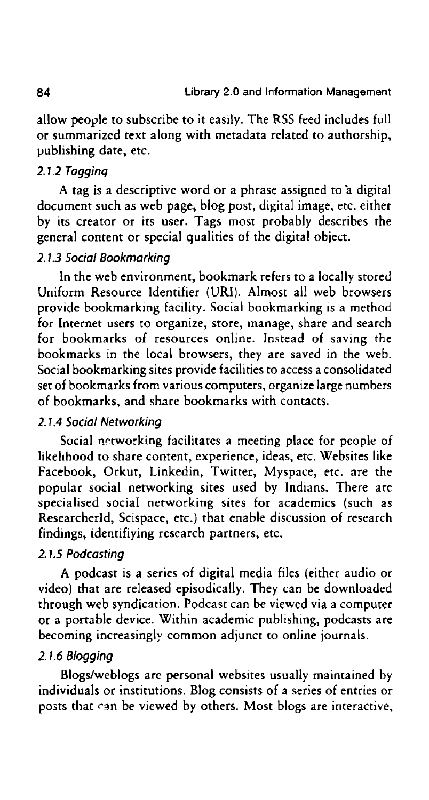allow people to subscribe to it easily. The RSS feed includes full or summarized text along with metadata related to authorship, publishing date, etc.

#### 2.1.2 Tagging

A tag is a descriptive word or a phrase assigned to 'a digital document such as web page, blog post, digital image, etc. either by its creator or its user. Tags most probably describes the general content or special qualities of the digital object.

#### 2.1.3 Social Bookmarking

In the web environment, bookmark refers to a locally stored Uniform Resource Identifier (URI). Almost all web browsers provide bookmarking facility. Social bookmarking is a method for Internet users to organize, store, manage, share and search for bookmarks of resources online. Instead of saving the bookmarks in the local browsers, they are saved in the web. Social bookmarking sites provide facilities to access a consolidated set of bookmarks from various computers, organize large numbers of bookmarks, and share bookmarks with contacts.

#### 2.1.4 Social Networking

Social networking facilitates a meeting place for people of likelihood to share content, experience, ideas, etc. Websites like Facebook, Orkut, Linkedin, Twitter, Myspace, etc. are the popular social networking sites used by Indians. There are specialised social networking sites for academics (such as Researcherld, Scispace, etc.) that enable discussion of research findings, identifiying research partners, etc.

#### 2. 7.5 Podcasting

A podcast is a series of digital media files (either audio or video) that are released episodically. They can be downloaded through web syndication. Podcast can be viewed via a computer or a portable device. Within academic publishing, podcasts are becoming increasingly common adjunct to online journals.

#### 2.1.6 Blogging

Blogs/weblogs are personal websites usually maintained by individuals or institutions. Blog consists of a series of entries or posts that can be viewed by others. Most blogs are interactive,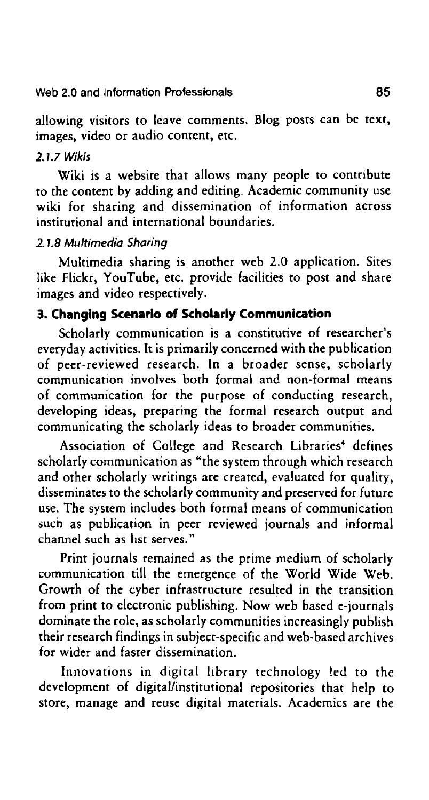#### Web 2.0 and Information Professionals **85**

allowing visitors to leave comments. Blog posts can be text, images, video or audio content, etc.

#### 2.1.7 Wikis

Wiki is a website that allows many people to contribute to the content by adding and editing. Academic community use wiki for sharing and dissemination of information across institutional and international boundaries.

#### 2.1.8 Multimedia Sharing

Multimedia sharing is another web 2.0 application. Sites like Flickr, YouTube, etc. provide facilities to post and share images and video respectively.

## 3. Changing Scenario of Scholarly Communication

Scholarly communication is a constitutive of researcher's everyday activities. It is primarily concerned with the publication of peer-reviewed research. In a broader sense, scholarly communication involves both formal and non-formal means of communication for the purpose of conducting research, developing ideas, preparing the formal research output and communicating the scholarly ideas to broader communities.

Association of College and Research Libraries' defines scholarly communication as "the system through which research and other scholarly writings are created, evaluated for quality, disseminates to the scholarly community and preserved for future use. The system includes both formal means of communication such as publication in peer reviewed journals and informal channel such as list serves."

Print journals remained as the prime medium of scholarly communication till the emergence of the World Wide Web. Growth of the cyber infrastructure resulted in the transition from print to electronic publishing. Now web based e-journals dominate the role, as scholarly communities increasingly publish their research findings in subject-specific and web-based archives for wider and faster dissemination.

lnnovations in digital library technology led to the development of digital/institutional repositories that help to store, manage and reuse digital materials. Academics are the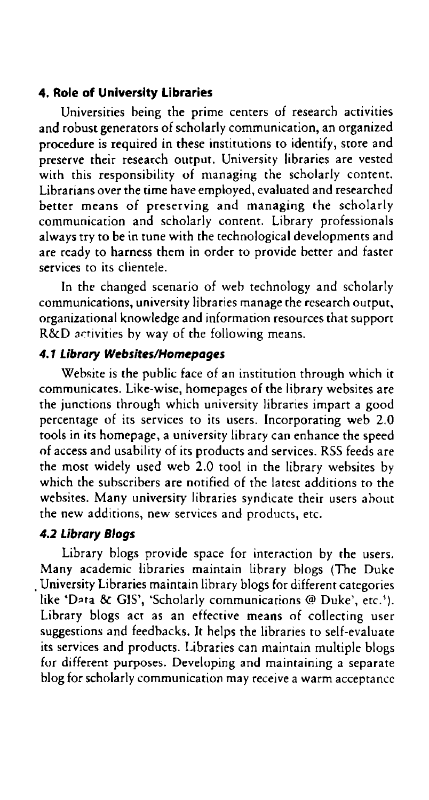#### 4. Role of University Libraries

Universities being the prime centers of research activities and robust generators of scholarly communication, an organized procedure is required in these institutions to identify, store and preserve their research output. University libraries are vested with this responsibility of managing the scholarly content. Librarians over the time have employed, evaluated and researched better means of preserving and managing the scholarly communication and scholarly content. Library professionals always try to be in tune with the technological developments and are ready to harness them in order to provide better and faster services to its clientele.

in the changed scenario of web technology and scholarly communications, university libraries manage the research output, organizational knowledge and information resources that support R&D activities by way of the following means.

#### 4.1 Library Websites/Homepages

Website is the public face of an institution through which it communicates. Like—wise, homepages of the library websites are the junctions through which university libraries impart a good percentage of its services to its users. Incorporating web 2.0 tools in its homepage, a university library can enhance the speed ofaccess and usability of its products and services. RSS feeds are the most widely used web 2.0 tool in the library websites by which the subscribers are notified of the latest additions to the websites. Many university libraries syndicate their users about the new additions, new services and products, etc.

#### 4.2 Library Blogs

Library blogs provide space for interaction by the users. Many academic libraries maintain library blogs (The Duke \_ University Libraries maintain library blogs for different categories like 'Data & GIS', 'Scholarly communications @ Duke', etc.'). Library blogs act as an effective means of collecting user suggestions and feedbacks. It helps the libraries to self-evaluate its services and products. Libraries can maintain multiple blogs for different purposes. Developing and maintaining a separate blog for scholarly communication may receive a warm acceptance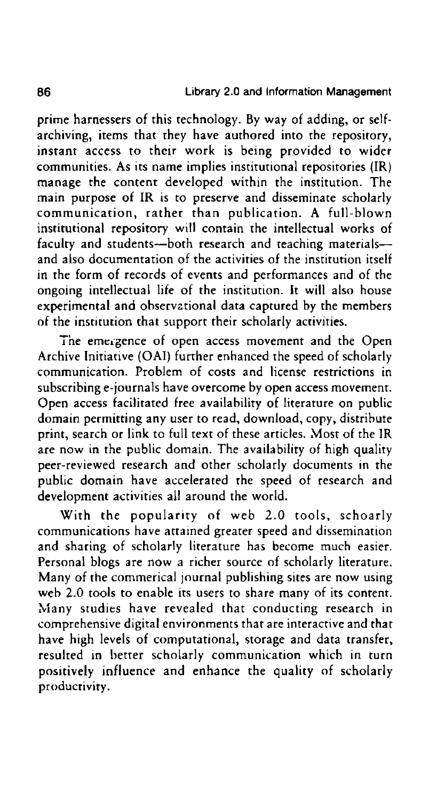prime harnessers of this technology. By way of adding, or selfarchiving, items that they have authored into the repository, instant access to their work is being provided to wider communities. As its name implies institutional repositories (IR) manage the Content developed within the institution. The main purpose of IR is to preserve and disseminate scholarly communication, rather than publication. A full—blown institutional repository will contain the intellectual works of faculty and students—both research and teaching materials and also documentation of the activities of the institution itself in the form of records of events and performances and of the ongoing intellectual life of the institution. It will also house experimental and observational data captured by the members of the institution that support their scholarly activities.

The emergence of open access movement and the Open Archive Initiative (OAI) further enhanced the speed of scholarly communication. Problem of costs and license restrictions in subscribing e-journals have overcome by open access movement. Open access facilitated free availability of literature on public domain permitting any user to read, download, copy, distribute print, search or link to full text of these articles. Most of the IR are now in the public domain. The availability of high quality peer-reviewed research and other scholarly documents in the public domain have accelerated the speed of research and development activities all around the world.

With the popularity of web 2.0 tools, schoarly communications have attained greater speed and dissemination and sharing of scholarly literature has become much easier. Personal blogs are now a richer source of scholarly literature. Many of the commerical journal publishing sites are now using web 2.0 tools to enable its users to share many of its content. Many studies have revealed that conducting research in comprehensive digital environments that are interactive and that have high levels of computational, storage and data transfer, resulted in better scholarly communication which in turn positively influence and enhance the quality of scholarly productivity.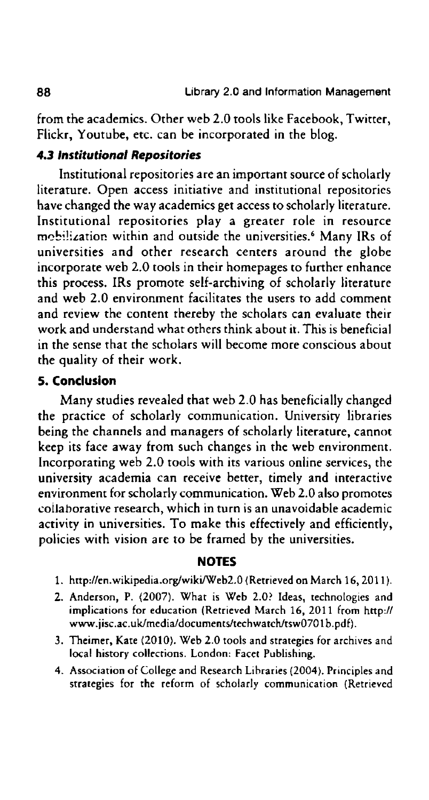from the academics. Other web 2.0 tools like Facebook, Twitter, Flickr, Youtube, etc. can be incorporated in the blog.

## 4.3 Institutional Repositories

Institutional repositories are an important source of scholarly literature. Open access initiative and institutional repositories have changed the way academics get access to scholarly literature. Institutional repositories play a greater role in resource mobilization within and outside the universities.<sup>6</sup> Many IRs of universities and other research centers around the globe incorporate web 2.0 tools in their homepages to further enhance this process. IRS promote self-archiving of scholarly literature and web 2.0 environment facilitates the users to add comment and review the content thereby the scholars can evaluate their work and understand what others think about it. This is beneficial in the sense that the scholars will become more conscious about the quality of their work.

#### 5. Conclusion

Many studies revealed that web 2.0 has beneficially changed the practice of scholarly communication. University libraries being the channels and managers of scholarly literature, cannot keep its face away from such changes in the web environment. Incorporating web 2.0 tools with its various online services, the university academia can receive better, timely and interactive environment for scholarly communication. Web 2.0 also promotes collaborative research, which in turn is an unavoidable academic activity in universities. To make this effectively and efficiently, policies with vision are to be framed by the universities.

#### NOTES

- 1. http://en.wikipedia.org/wiki/Web2.0 (Retrieved on March 16, 2011).
- 2. Anderson, P. (2007). What is Web 2.0? Ideas, technologies and implications for education (Retrieved March 16, 2011 from http:// www.iisc.ac.uk/media/documents/techwatch/tsw0701b.pdf).
- 3. Theimer, Kate (2010). Web 2.0 tools and strategies for archives and local history collections. London: Facet Publishing.
- 4. Association of College and Research Libraries (2004). Principles and strategies for the reform of scholarly communication (Retrieved